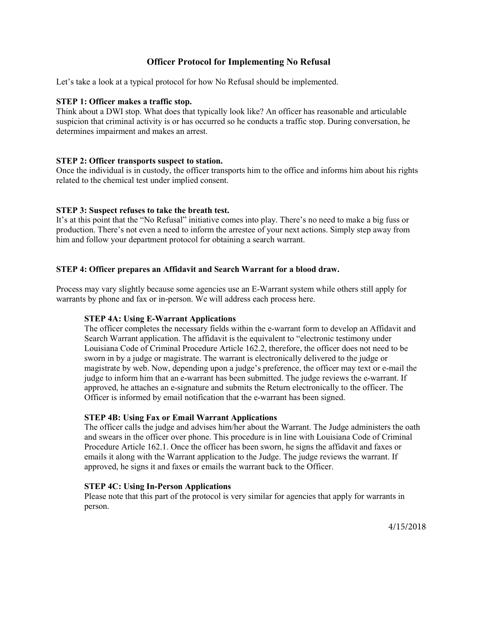# Officer Protocol for Implementing No Refusal

Let's take a look at a typical protocol for how No Refusal should be implemented.

## STEP 1: Officer makes a traffic stop.

Think about a DWI stop. What does that typically look like? An officer has reasonable and articulable suspicion that criminal activity is or has occurred so he conducts a traffic stop. During conversation, he determines impairment and makes an arrest.

## STEP 2: Officer transports suspect to station.

Once the individual is in custody, the officer transports him to the office and informs him about his rights related to the chemical test under implied consent.

## STEP 3: Suspect refuses to take the breath test.

It's at this point that the "No Refusal" initiative comes into play. There's no need to make a big fuss or production. There's not even a need to inform the arrestee of your next actions. Simply step away from him and follow your department protocol for obtaining a search warrant.

## STEP 4: Officer prepares an Affidavit and Search Warrant for a blood draw.

Process may vary slightly because some agencies use an E-Warrant system while others still apply for warrants by phone and fax or in-person. We will address each process here.

#### STEP 4A: Using E-Warrant Applications

The officer completes the necessary fields within the e-warrant form to develop an Affidavit and Search Warrant application. The affidavit is the equivalent to "electronic testimony under Louisiana Code of Criminal Procedure Article 162.2, therefore, the officer does not need to be sworn in by a judge or magistrate. The warrant is electronically delivered to the judge or magistrate by web. Now, depending upon a judge's preference, the officer may text or e-mail the judge to inform him that an e-warrant has been submitted. The judge reviews the e-warrant. If approved, he attaches an e-signature and submits the Return electronically to the officer. The Officer is informed by email notification that the e-warrant has been signed.

#### STEP 4B: Using Fax or Email Warrant Applications

The officer calls the judge and advises him/her about the Warrant. The Judge administers the oath and swears in the officer over phone. This procedure is in line with Louisiana Code of Criminal Procedure Article 162.1. Once the officer has been sworn, he signs the affidavit and faxes or emails it along with the Warrant application to the Judge. The judge reviews the warrant. If approved, he signs it and faxes or emails the warrant back to the Officer.

#### STEP 4C: Using In-Person Applications

Please note that this part of the protocol is very similar for agencies that apply for warrants in person.